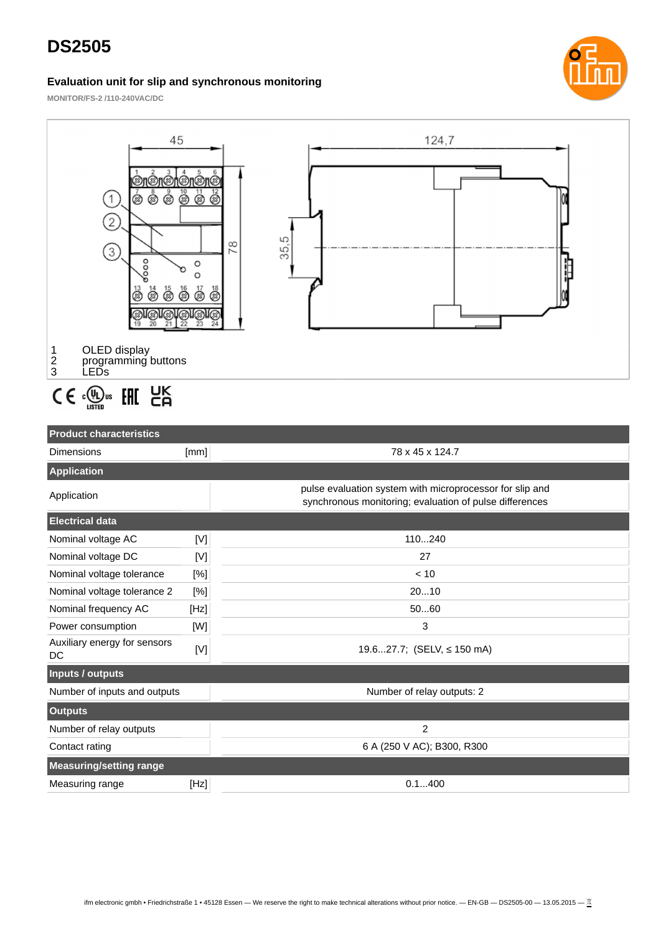# **DS2505**

#### **Evaluation unit for slip and synchronous monitoring**



**MONITOR/FS-2 /110-240VAC/DC**



### **Product characteristics** Dimensions [mm] **[mm]** 78 x 45 x 124.7 **Application** Application **pulse evaluation system with microprocessor for slip and**  $\blacksquare$ synchronous monitoring; evaluation of pulse differences **Electrical data** Nominal voltage AC [V] 110...240 Nominal voltage DC [V] 27 Nominal voltage tolerance  $[%]$  example 10 Nominal voltage tolerance 2 [%] 20...10 Nominal frequency AC [Hz] 60...60 Power consumption [W] 3 Auxiliary energy for sensors Auxiliary energy for sensors  $[M]$  19.6...27.7; (SELV,  $\leq$  150 mA) **Inputs / outputs** Number of inputs and outputs Number of relay outputs: 2 **Outputs** Number of relay outputs 2 Contact rating 6 A (250 V AC); B300, R300 **Measuring/setting range**

Measuring range [Hz] **[Hz] 1.1.400 1.1.400**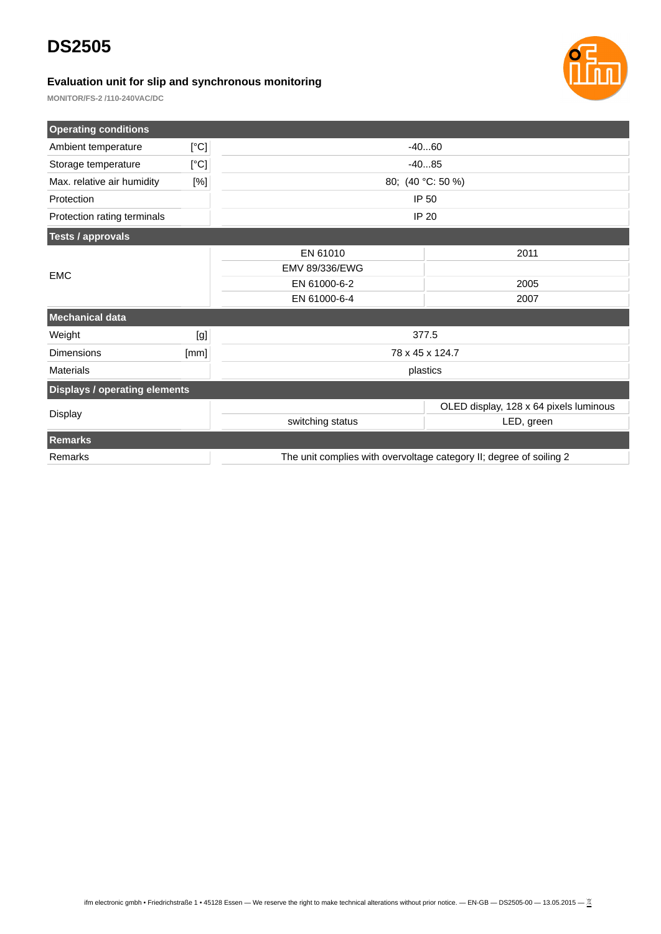### **DS2505**

### **Evaluation unit for slip and synchronous monitoring**



**MONITOR/FS-2 /110-240VAC/DC**

| <b>Operating conditions</b>          |      |                                                                     |                                        |  |
|--------------------------------------|------|---------------------------------------------------------------------|----------------------------------------|--|
| Ambient temperature                  | [°C] | $-4060$                                                             |                                        |  |
| Storage temperature                  | [°C] | $-4085$                                                             |                                        |  |
| Max. relative air humidity           | [%]  | 80; (40 °C: 50 %)                                                   |                                        |  |
| Protection                           |      | IP 50                                                               |                                        |  |
| Protection rating terminals          |      | <b>IP 20</b>                                                        |                                        |  |
| <b>Tests / approvals</b>             |      |                                                                     |                                        |  |
|                                      |      | EN 61010                                                            | 2011                                   |  |
| <b>EMC</b>                           |      | <b>EMV 89/336/EWG</b>                                               |                                        |  |
|                                      |      | EN 61000-6-2                                                        | 2005                                   |  |
|                                      |      | EN 61000-6-4                                                        | 2007                                   |  |
| <b>Mechanical data</b>               |      |                                                                     |                                        |  |
| Weight                               | [g]  | 377.5                                                               |                                        |  |
| <b>Dimensions</b>                    | [mm] | 78 x 45 x 124.7                                                     |                                        |  |
| <b>Materials</b>                     |      | plastics                                                            |                                        |  |
| <b>Displays / operating elements</b> |      |                                                                     |                                        |  |
|                                      |      |                                                                     | OLED display, 128 x 64 pixels luminous |  |
| <b>Display</b>                       |      | switching status                                                    | LED, green                             |  |
| <b>Remarks</b>                       |      |                                                                     |                                        |  |
| Remarks                              |      | The unit complies with overvoltage category II; degree of soiling 2 |                                        |  |